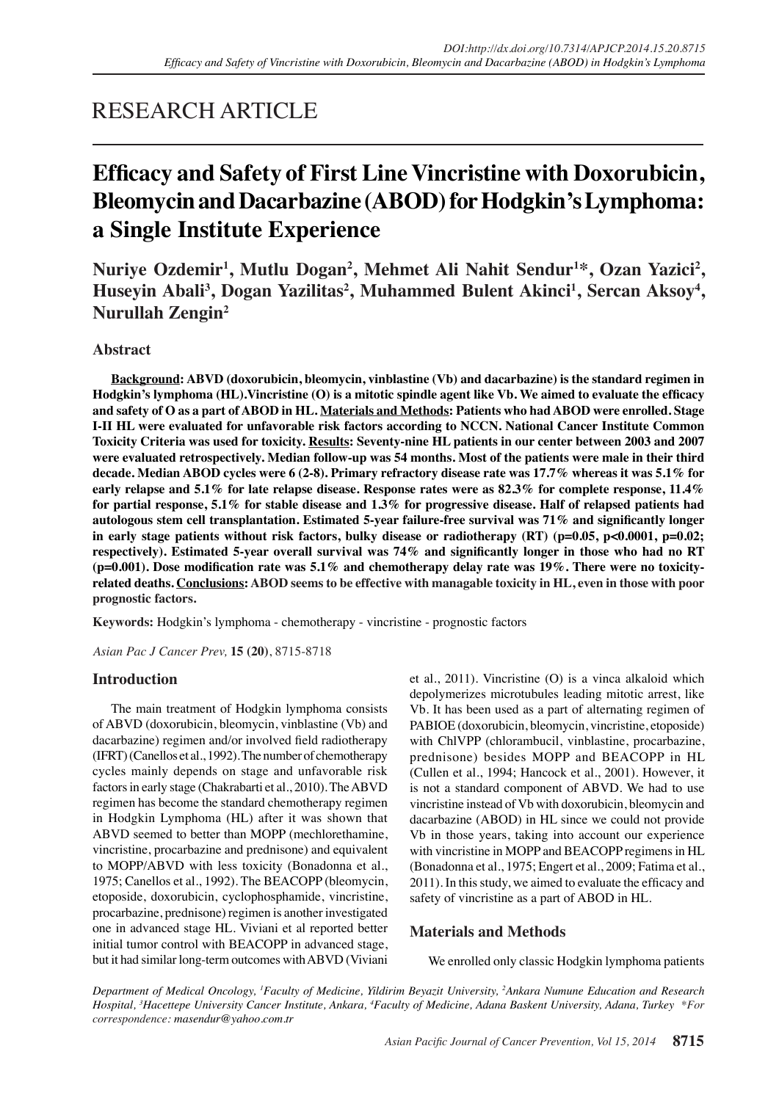# RESEARCH ARTICLE

# **Efficacy and Safety of First Line Vincristine with Doxorubicin, Bleomycin and Dacarbazine (ABOD) for Hodgkin's Lymphoma: a Single Institute Experience**

Nuriye Ozdemir<sup>1</sup>, Mutlu Dogan<sup>2</sup>, Mehmet Ali Nahit Sendur<sup>1\*</sup>, Ozan Yazici<sup>2</sup>, Huseyin Abali<sup>3</sup>, Dogan Yazilitas<sup>2</sup>, Muhammed Bulent Akinci<sup>1</sup>, Sercan Aksoy<sup>4</sup>, **Nurullah Zengin2**

## **Abstract**

**Background: ABVD (doxorubicin, bleomycin, vinblastine (Vb) and dacarbazine) is the standard regimen in Hodgkin's lymphoma (HL).Vincristine (O) is a mitotic spindle agent like Vb. We aimed to evaluate the efficacy and safety of O as a part of ABOD in HL. Materials and Methods: Patients who had ABOD were enrolled. Stage I-II HL were evaluated for unfavorable risk factors according to NCCN. National Cancer Institute Common Toxicity Criteria was used for toxicity. Results: Seventy-nine HL patients in our center between 2003 and 2007 were evaluated retrospectively. Median follow-up was 54 months. Most of the patients were male in their third decade. Median ABOD cycles were 6 (2-8). Primary refractory disease rate was 17.7% whereas it was 5.1% for early relapse and 5.1% for late relapse disease. Response rates were as 82.3% for complete response, 11.4% for partial response, 5.1% for stable disease and 1.3% for progressive disease. Half of relapsed patients had autologous stem cell transplantation. Estimated 5-year failure-free survival was 71% and significantly longer**  in early stage patients without risk factors, bulky disease or radiotherapy (RT) (p=0.05, p<0.0001, p=0.02; **respectively). Estimated 5-year overall survival was 74% and significantly longer in those who had no RT (p=0.001). Dose modification rate was 5.1% and chemotherapy delay rate was 19%. There were no toxicityrelated deaths. Conclusions: ABOD seems to be effective with managable toxicity in HL, even in those with poor prognostic factors.**

**Keywords:** Hodgkin's lymphoma - chemotherapy - vincristine - prognostic factors

*Asian Pac J Cancer Prev,* **15 (20)**, 8715-8718

## **Introduction**

The main treatment of Hodgkin lymphoma consists of ABVD (doxorubicin, bleomycin, vinblastine (Vb) and dacarbazine) regimen and/or involved field radiotherapy (IFRT) (Canellos et al., 1992). The number of chemotherapy cycles mainly depends on stage and unfavorable risk factors in early stage (Chakrabarti et al., 2010). The ABVD regimen has become the standard chemotherapy regimen in Hodgkin Lymphoma (HL) after it was shown that ABVD seemed to better than MOPP (mechlorethamine, vincristine, procarbazine and prednisone) and equivalent to MOPP/ABVD with less toxicity (Bonadonna et al., 1975; Canellos et al., 1992). The BEACOPP (bleomycin, etoposide, doxorubicin, cyclophosphamide, vincristine, procarbazine, prednisone) regimen is another investigated one in advanced stage HL. Viviani et al reported better initial tumor control with BEACOPP in advanced stage, but it had similar long-term outcomes with ABVD (Viviani et al., 2011). Vincristine (O) is a vinca alkaloid which depolymerizes microtubules leading mitotic arrest, like Vb. It has been used as a part of alternating regimen of PABIOE (doxorubicin, bleomycin, vincristine, etoposide) with ChlVPP (chlorambucil, vinblastine, procarbazine, prednisone) besides MOPP and BEACOPP in HL (Cullen et al., 1994; Hancock et al., 2001). However, it is not a standard component of ABVD. We had to use vincristine instead of Vb with doxorubicin, bleomycin and dacarbazine (ABOD) in HL since we could not provide Vb in those years, taking into account our experience with vincristine in MOPP and BEACOPP regimens in HL (Bonadonna et al., 1975; Engert et al., 2009; Fatima et al., 2011). In this study, we aimed to evaluate the efficacy and safety of vincristine as a part of ABOD in HL.

## **Materials and Methods**

We enrolled only classic Hodgkin lymphoma patients

*Department of Medical Oncology, 1 Faculty of Medicine, Yildirim Beyazit University, 2 Ankara Numune Education and Research Hospital, 3 Hacettepe University Cancer Institute, Ankara, 4 Faculty of Medicine, Adana Baskent University, Adana, Turkey \*For correspondence: masendur@yahoo.com.tr*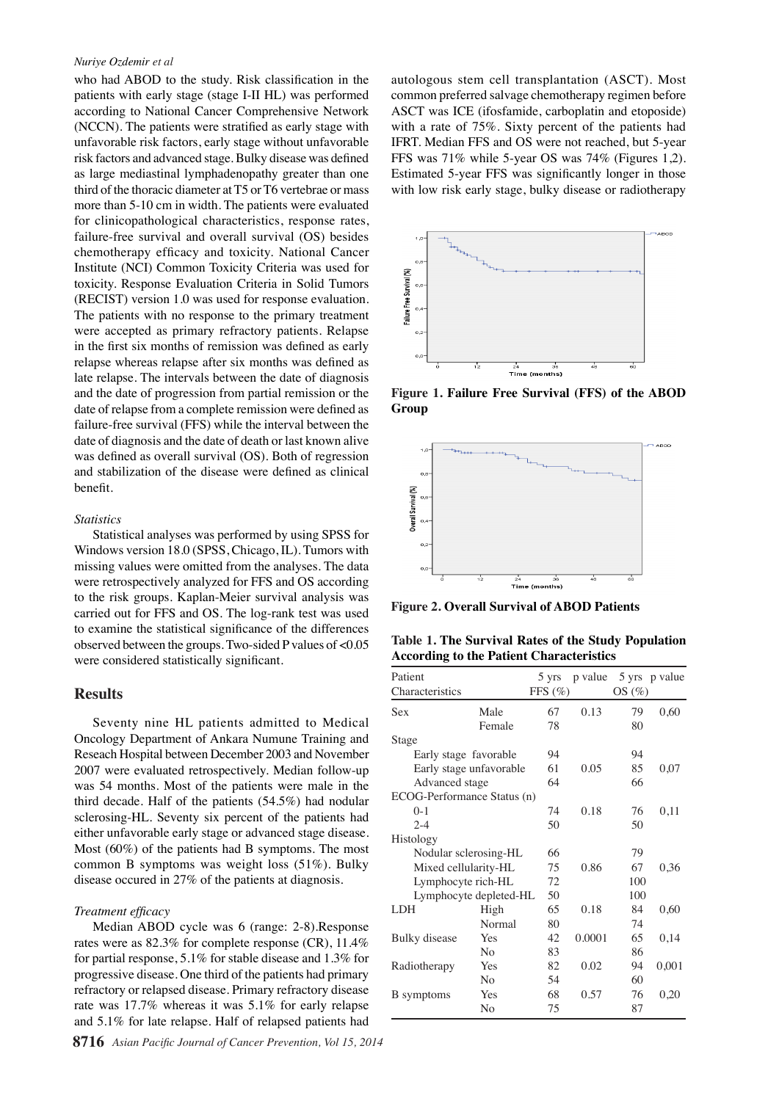#### *Nuriye Ozdemir et al*

who had ABOD to the study. Risk classification in the patients with early stage (stage I-II HL) was performed according to National Cancer Comprehensive Network (NCCN). The patients were stratified as early stage with unfavorable risk factors, early stage without unfavorable risk factors and advanced stage. Bulky disease was defined as large mediastinal lymphadenopathy greater than one third of the thoracic diameter at T5 or T6 vertebrae or mass more than 5-10 cm in width. The patients were evaluated for clinicopathological characteristics, response rates, failure-free survival and overall survival (OS) besides chemotherapy efficacy and toxicity. National Cancer Institute (NCI) Common Toxicity Criteria was used for toxicity. Response Evaluation Criteria in Solid Tumors (RECIST) version 1.0 was used for response evaluation. The patients with no response to the primary treatment were accepted as primary refractory patients. Relapse in the first six months of remission was defined as early relapse whereas relapse after six months was defined as late relapse. The intervals between the date of diagnosis and the date of progression from partial remission or the date of relapse from a complete remission were defined as failure-free survival (FFS) while the interval between the date of diagnosis and the date of death or last known alive was defined as overall survival (OS). Both of regression and stabilization of the disease were defined as clinical benefit.

#### *Statistics*

Statistical analyses was performed by using SPSS for Windows version 18.0 (SPSS, Chicago, IL). Tumors with missing values were omitted from the analyses. The data were retrospectively analyzed for FFS and OS according to the risk groups. Kaplan-Meier survival analysis was carried out for FFS and OS. The log-rank test was used to examine the statistical significance of the differences observed between the groups. Two-sided P values of <0.05 were considered statistically significant.

### **Results**

Seventy nine HL patients admitted to Medical Oncology Department of Ankara Numune Training and Reseach Hospital between December 2003 and November 2007 were evaluated retrospectively. Median follow-up was 54 months. Most of the patients were male in the third decade. Half of the patients (54.5%) had nodular sclerosing-HL. Seventy six percent of the patients had either unfavorable early stage or advanced stage disease. Most (60%) of the patients had B symptoms. The most common B symptoms was weight loss (51%). Bulky disease occured in 27% of the patients at diagnosis.

### *Treatment efficacy*

Median ABOD cycle was 6 (range: 2-8).Response rates were as 82.3% for complete response (CR), 11.4% for partial response, 5.1% for stable disease and 1.3% for progressive disease. One third of the patients had primary refractory or relapsed disease. Primary refractory disease rate was 17.7% whereas it was 5.1% for early relapse and 5.1% for late relapse. Half of relapsed patients had

autologous stem cell transplantation (ASCT). Most common preferred salvage chemotherapy regimen before ASCT was ICE (ifosfamide, carboplatin and etoposide) with a rate of 75%. Sixty percent of the patients had IFRT. Median FFS and OS were not reached, but 5-year FFS was 71% while 5-year OS was 74% (Figures 1,2). Estimated 5-year FFS was significantly longer in those with low risk early stage, bulky disease or radiotherapy



**Figure 1. Failure Free Survival (FFS) of the ABOD Group**



**Figure 2. Overall Survival of ABOD Patients**

**Table 1. The Survival Rates of the Study Population According to the Patient Characteristics**

| Patient                     |                | 5 yrs       | p value |       | 5 yrs p value |
|-----------------------------|----------------|-------------|---------|-------|---------------|
| Characteristics             |                | FFS $(\% )$ |         | OS(%) |               |
| Sex                         | Male           | 67          | 0.13    | 79    | 0,60          |
|                             | Female         | 78          |         | 80    |               |
| Stage                       |                |             |         |       |               |
| Early stage favorable       |                | 94          |         | 94    |               |
| Early stage unfavorable     |                | 61          | 0.05    | 85    | 0,07          |
| Advanced stage              |                | 64          |         | 66    |               |
| ECOG-Performance Status (n) |                |             |         |       |               |
| $0 - 1$                     |                | 74          | 0.18    | 76    | 0,11          |
| $2 - 4$                     |                | 50          |         | 50    |               |
| Histology                   |                |             |         |       |               |
| Nodular sclerosing-HL       |                | 66          |         | 79    |               |
| Mixed cellularity-HL        |                | 75          | 0.86    | 67    | 0,36          |
| Lymphocyte rich-HL          |                | 72          |         | 100   |               |
| Lymphocyte depleted-HL      |                | 50          |         | 100   |               |
| <b>LDH</b>                  | High           | 65          | 0.18    | 84    | 0,60          |
|                             | Normal         | 80          |         | 74    |               |
| Bulky disease               | Yes            | 42          | 0.0001  | 65    | 0,14          |
|                             | No             | 83          |         | 86    |               |
| Radiotherapy                | Yes            | 82          | 0.02    | 94    | 0,001         |
|                             | N <sub>0</sub> | 54          |         | 60    |               |
| <b>B</b> symptoms           | Yes            | 68          | 0.57    | 76    | 0.20          |
|                             | No             | 75          |         | 87    |               |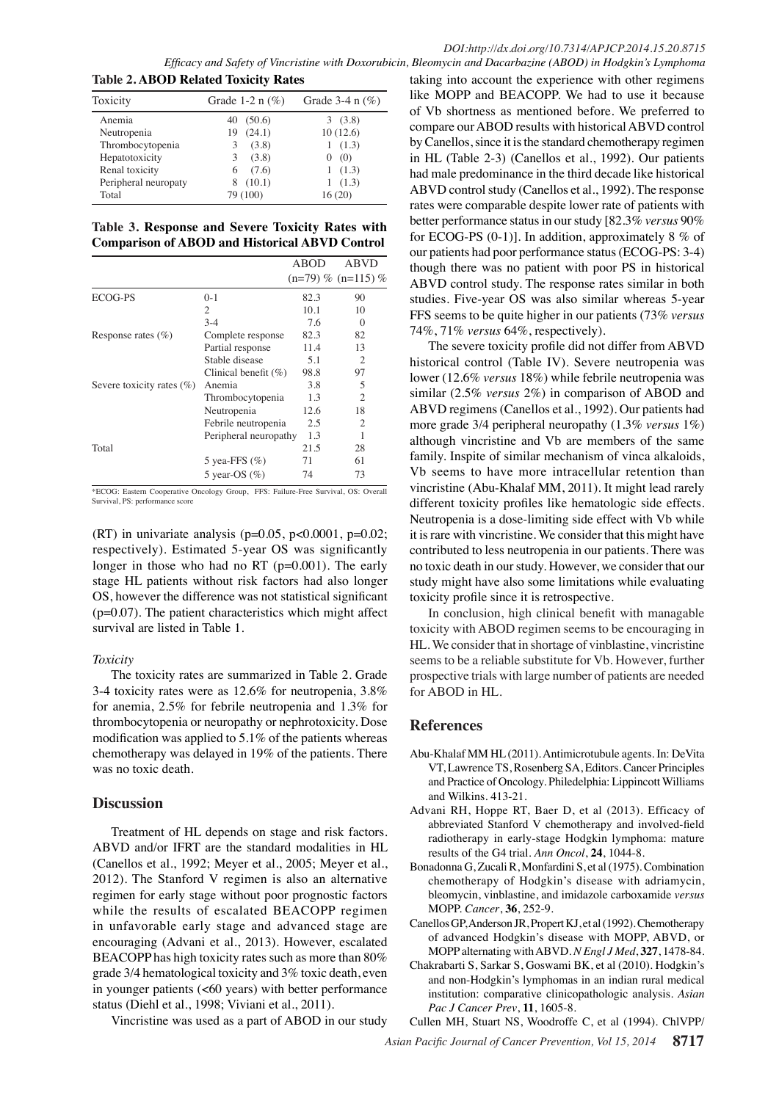## *DOI:http://dx.doi.org/10.7314/APJCP.2014.15.20.8715*

*Efficacy and Safety of Vincristine with Doxorubicin, Bleomycin and Dacarbazine (ABOD) in Hodgkin's Lymphoma* **Table 2. ABOD Related Toxicity Rates**

| rasic <b>Alipop Realed Toment, Rates</b> |                    |                      |  |  |  |  |
|------------------------------------------|--------------------|----------------------|--|--|--|--|
| Toxicity                                 | Grade 1-2 n $(\%)$ | Grade $3-4$ n $(\%)$ |  |  |  |  |
| Anemia                                   | 40(50.6)           | 3(3.8)               |  |  |  |  |
| Neutropenia                              | (24.1)<br>19       | 10(12.6)             |  |  |  |  |
| Thrombocytopenia                         | (3.8)<br>3         | (1.3)                |  |  |  |  |
| Hepatotoxicity                           | (3.8)<br>3         | (0)<br>$\theta$      |  |  |  |  |
| Renal toxicity                           | (7.6)<br>6         | 1(1.3)               |  |  |  |  |
| Peripheral neuropaty                     | (10.1)<br>8        | (1.3)                |  |  |  |  |
| Total                                    | 79 (100)           | 16(20)               |  |  |  |  |

Table 3. Response and Severe Toxicity Rates with **100.0**<br>Commaniculate RADOD and Historical ABVD Can**ture 100.0 Comparison of ABOD and Historical ABVD Control**

|                              |                         | <b>ABOD</b> | <b>ABVD</b>            |       |
|------------------------------|-------------------------|-------------|------------------------|-------|
|                              |                         |             | $(n=79)$ % $(n=115)$ % | -75.0 |
| ECOG-PS                      | $0 - 1$                 | 82.3        | 90                     |       |
|                              | 2                       | 10.1        | 10                     |       |
|                              | $3-4$                   | 7.6         | $\Omega$               |       |
| Response rates $(\% )$       | Complete response       | 82.3        | 82                     |       |
|                              | Partial response        | 11.4        | 13                     | 50.0  |
|                              | Stable disease          | 5.1         | $\overline{2}$         |       |
|                              | Clinical benefit $(\%)$ | 98.8        | 97                     |       |
| Severe toxicity rates $(\%)$ | Anemia                  | 3.8         | 5                      |       |
|                              | Thrombocytopenia        | 1.3         | $\overline{c}$         | 25.0  |
|                              | Neutropenia             | 12.6        | 18                     |       |
|                              | Febrile neutropenia     | 2.5         | $\overline{c}$         |       |
|                              | Peripheral neuropathy   | 1.3         |                        |       |
| Total                        |                         | 21.5        | 28                     |       |
|                              | 5 yea-FFS $(\%)$        | 71          | 61                     |       |
|                              | 5 year-OS $(\%)$        | 74          | 73                     |       |

\*ECOG: Eastern Cooperative Oncology Group, FFS: Failure-Free Survival, OS: Overall Survival, PS: performance score

(RT) in univariate analysis ( $p=0.05$ ,  $p<0.0001$ ,  $p=0.02$ ; respectively). Estimated 5-year OS was significantly longer in those who had no RT (p=0.001). The early stage HL patients without risk factors had also longer OS, however the difference was not statistical significant  $(p=0.07)$ . The patient characteristics which might affect survival are listed in Table 1.

#### *Toxicity*

The toxicity rates are summarized in Table 2. Grade 3-4 toxicity rates were as 12.6% for neutropenia, 3.8% for anemia, 2.5% for febrile neutropenia and 1.3% for thrombocytopenia or neuropathy or nephrotoxicity. Dose modification was applied to 5.1% of the patients whereas chemotherapy was delayed in 19% of the patients. There was no toxic death.

#### **Discussion**

Treatment of HL depends on stage and risk factors. ABVD and/or IFRT are the standard modalities in HL (Canellos et al., 1992; Meyer et al., 2005; Meyer et al., 2012). The Stanford V regimen is also an alternative regimen for early stage without poor prognostic factors while the results of escalated BEACOPP regimen in unfavorable early stage and advanced stage are encouraging (Advani et al., 2013). However, escalated BEACOPP has high toxicity rates such as more than 80% grade 3/4 hematological toxicity and 3% toxic death, even in younger patients  $( $60$  years) with better performance$ status (Diehl et al., 1998; Viviani et al., 2011).

Vincristine was used as a part of ABOD in our study

taking into account the experience with other regimens like MOPP and BEACOPP. We had to use it because of Vb shortness as mentioned before. We preferred to compare our ABOD results with historical ABVD control by Canellos, since it is the standard chemotherapy regimen in HL (Table 2-3) (Canellos et al., 1992). Our patients had male predominance in the third decade like historical ABVD control study (Canellos et al., 1992). The response rates were comparable despite lower rate of patients with better performance status in our study [82.3% *versus* 90%



**Q**family. Inspite of similar mechanism of vinca alkaloids, Vb seem to have more inteacher interesting extention than vincristin $\mathbf{E}(\text{Abu-Kh}$ af MM,  $\mathbf{E}^{011}$ ). It magnetical rarely different  $\ddot{\mathbf{g}}$ xicity prefiles like  $\ddot{\mathbf{g}}$ ematolo $\ddot{\mathbf{g}}$ c side effects. Neutrope $\#$ a is a do $\#$ -limiting side effect with Vb while it is rare with vincristine. We consider that this might have contributed to less neutropenia in our patients. There was no toxic death in our study. However, we consider that our study might have also some limitations while evaluating toxicity  $p\overline{p}$  of the since it is retrospective. Newly diagnosed without treatment Newly diagnosed with treatment Persistence or recurrence Remission Newly diagnosed without treatment Sumore interesting<br>
Health MM, sumore<br>
Health treatment<br>
Health treatment<br>
Sumore interesting<br>
Sumore interesting<br>
Sumore interesting<br>
Sumore interesting<br>
Sumore interesting<br>
Sumore interesting<br>
Sumore interesting<br>
Sumore Remission

None

None<br>Chemotherapy<br>
Therapy

**12.8**

**12.8**

**51.1**

**75.051.1**

In conclusion,  $\frac{1}{2}$  clinical benefit with managable toxicity with ABOD regimen seems to be encouraging in HL. We consider that in shortage of vinblastine, vincristine seems to be a reliable substitute for Vb. However, further prospective trials with large number of patients are needed for ABOD in HL.

### **References**

- Abu-Khalaf MM HL (2011). Antimicrotubule agents. In: DeVita VT, Lawrence TS, Rosenberg SA, Editors. Cancer Principles and Practice of Oncology. Philedelphia: Lippincott Williams and Wilkins. 413-21.
- Advani RH, Hoppe RT, Baer D, et al (2013). Efficacy of abbreviated Stanford V chemotherapy and involved-field radiotherapy in early-stage Hodgkin lymphoma: mature results of the G4 trial. *Ann Oncol*, **24**, 1044-8.
- Bonadonna G, Zucali R, Monfardini S, et al (1975). Combination chemotherapy of Hodgkin's disease with adriamycin, bleomycin, vinblastine, and imidazole carboxamide *versus*  MOPP. *Cancer*, **36**, 252-9.
- Canellos GP, Anderson JR, Propert KJ, et al (1992). Chemotherapy of advanced Hodgkin's disease with MOPP, ABVD, or MOPP alternating with ABVD. *N Engl J Med*, **327**, 1478-84.
- Chakrabarti S, Sarkar S, Goswami BK, et al (2010). Hodgkin's and non-Hodgkin's lymphomas in an indian rural medical institution: comparative clinicopathologic analysis. *Asian Pac J Cancer Prev*, **11**, 1605-8.

Cullen MH, Stuart NS, Woodroffe C, et al (1994). ChlVPP/

*Asian Pacific Journal of Cancer Prevention, Vol 15, 2014* **8717**